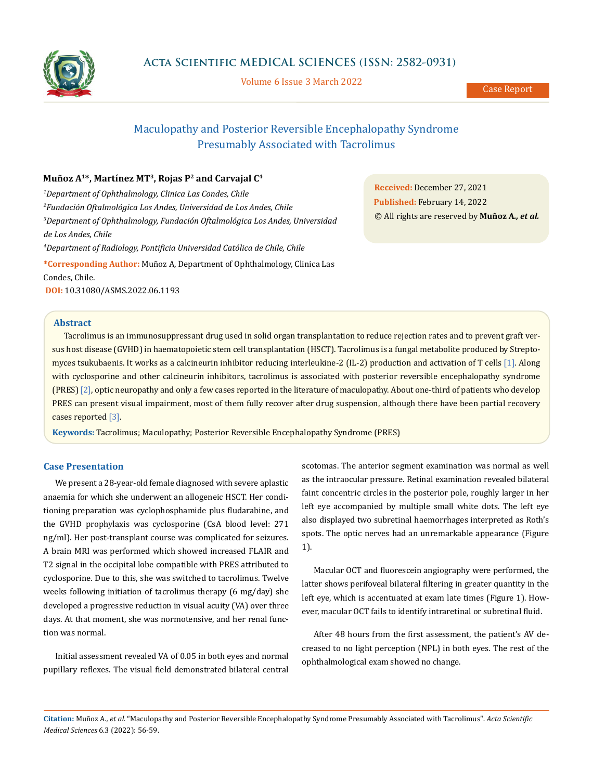

Volume 6 Issue 3 March 2022

# Maculopathy and Posterior Reversible Encephalopathy Syndrome Presumably Associated with Tacrolimus

## **Muñoz A1\*, Martínez MT3, Rojas P2 and Carvajal C4**

*1 Department of Ophthalmology, Clinica Las Condes, Chile 2 Fundación Oftalmológica Los Andes, Universidad de Los Andes, Chile 3 Department of Ophthalmology, Fundación Oftalmológica Los Andes, Universidad de Los Andes, Chile 4 Department of Radiology, Pontificia Universidad Católica de Chile, Chile* **\*Corresponding Author:** Muñoz A, Department of Ophthalmology, Clinica Las Condes, Chile.

**DOI:** [10.31080/ASMS.2022.06.1193](https://actascientific.com/ASMS/pdf/ASMS-06-1193.pdf)

**Abstract**

Tacrolimus is an immunosuppressant drug used in solid organ transplantation to reduce rejection rates and to prevent graft versus host disease (GVHD) in haematopoietic stem cell transplantation (HSCT). Tacrolimus is a fungal metabolite produced by Streptomyces tsukubaenis. It works as a calcineurin inhibitor reducing interleukine-2 (IL-2) production and activation of T cells [1]. Along with cyclosporine and other calcineurin inhibitors, tacrolimus is associated with posterior reversible encephalopathy syndrome (PRES) [2], optic neuropathy and only a few cases reported in the literature of maculopathy. About one-third of patients who develop PRES can present visual impairment, most of them fully recover after drug suspension, although there have been partial recovery cases reported [3].

**Keywords:** Tacrolimus; Maculopathy; Posterior Reversible Encephalopathy Syndrome (PRES)

## **Case Presentation**

We present a 28-year-old female diagnosed with severe aplastic anaemia for which she underwent an allogeneic HSCT. Her conditioning preparation was cyclophosphamide plus fludarabine, and the GVHD prophylaxis was cyclosporine (CsA blood level: 271 ng/ml). Her post-transplant course was complicated for seizures. A brain MRI was performed which showed increased FLAIR and T2 signal in the occipital lobe compatible with PRES attributed to cyclosporine. Due to this, she was switched to tacrolimus. Twelve weeks following initiation of tacrolimus therapy (6 mg/day) she developed a progressive reduction in visual acuity (VA) over three days. At that moment, she was normotensive, and her renal function was normal.

Initial assessment revealed VA of 0.05 in both eyes and normal pupillary reflexes. The visual field demonstrated bilateral central

scotomas. The anterior segment examination was normal as well as the intraocular pressure. Retinal examination revealed bilateral faint concentric circles in the posterior pole, roughly larger in her left eye accompanied by multiple small white dots. The left eye also displayed two subretinal haemorrhages interpreted as Roth's spots. The optic nerves had an unremarkable appearance (Figure 1).

Macular OCT and fluorescein angiography were performed, the latter shows perifoveal bilateral filtering in greater quantity in the left eye, which is accentuated at exam late times (Figure 1). However, macular OCT fails to identify intraretinal or subretinal fluid.

After 48 hours from the first assessment, the patient's AV decreased to no light perception (NPL) in both eyes. The rest of the ophthalmological exam showed no change.

**Citation:** Muñoz A*., et al.* "Maculopathy and Posterior Reversible Encephalopathy Syndrome Presumably Associated with Tacrolimus". *Acta Scientific Medical Sciences* 6.3 (2022): 56-59.

**Received:** December 27, 2021 **Published:** February 14, 2022 © All rights are reserved by **Muñoz A***., et al.*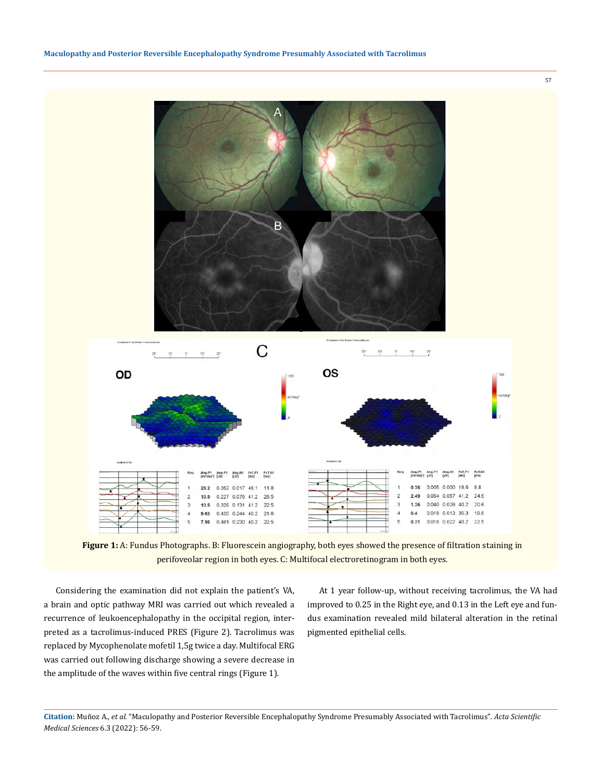



Considering the examination did not explain the patient's VA, a brain and optic pathway MRI was carried out which revealed a recurrence of leukoencephalopathy in the occipital region, interpreted as a tacrolimus-induced PRES (Figure 2). Tacrolimus was replaced by Mycophenolate mofetil 1,5g twice a day. Multifocal ERG was carried out following discharge showing a severe decrease in the amplitude of the waves within five central rings (Figure 1).

At 1 year follow-up, without receiving tacrolimus, the VA had improved to 0.25 in the Right eye, and 0.13 in the Left eye and fundus examination revealed mild bilateral alteration in the retinal pigmented epithelial cells.

57

**Citation:** Muñoz A*., et al.* "Maculopathy and Posterior Reversible Encephalopathy Syndrome Presumably Associated with Tacrolimus". *Acta Scientific Medical Sciences* 6.3 (2022): 56-59.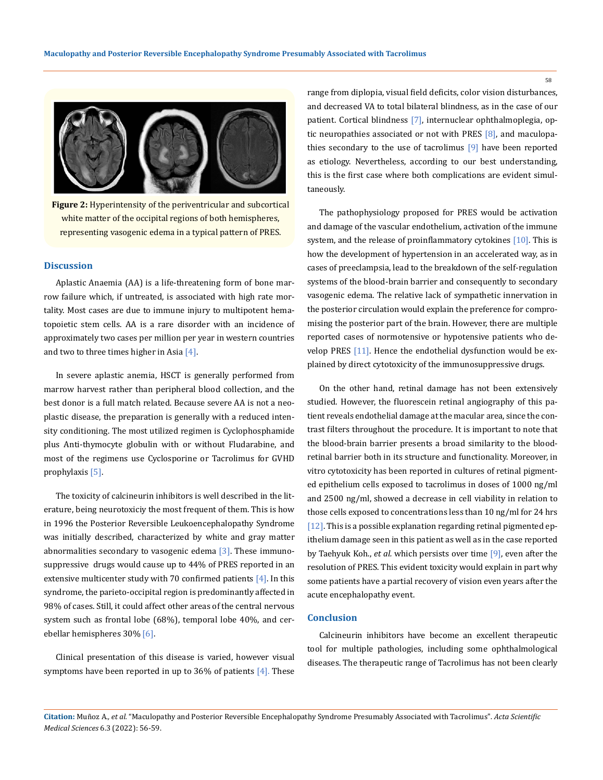

**Figure 2:** Hyperintensity of the periventricular and subcortical white matter of the occipital regions of both hemispheres, representing vasogenic edema in a typical pattern of PRES.

## **Discussion**

Aplastic Anaemia (AA) is a life-threatening form of bone marrow failure which, if untreated, is associated with high rate mortality. Most cases are due to immune injury to multipotent hematopoietic stem cells. AA is a rare disorder with an incidence of approximately two cases per million per year in western countries and two to three times higher in Asia  $[4]$ .

In severe aplastic anemia, HSCT is generally performed from marrow harvest rather than peripheral blood collection, and the best donor is a full match related. Because severe AA is not a neoplastic disease, the preparation is generally with a reduced intensity conditioning. The most utilized regimen is Cyclophosphamide plus Anti-thymocyte globulin with or without Fludarabine, and most of the regimens use Cyclosporine or Tacrolimus for GVHD prophylaxis [5].

The toxicity of calcineurin inhibitors is well described in the literature, being neurotoxiciy the most frequent of them. This is how in 1996 the Posterior Reversible Leukoencephalopathy Syndrome was initially described, characterized by white and gray matter abnormalities secondary to vasogenic edema [3]. These immunosuppressive drugs would cause up to 44% of PRES reported in an extensive multicenter study with 70 confirmed patients  $[4]$ . In this syndrome, the parieto-occipital region is predominantly affected in 98% of cases. Still, it could affect other areas of the central nervous system such as frontal lobe (68%), temporal lobe 40%, and cerebellar hemispheres 30% [6].

Clinical presentation of this disease is varied, however visual symptoms have been reported in up to 36% of patients  $[4]$ . These range from diplopia, visual field deficits, color vision disturbances, and decreased VA to total bilateral blindness, as in the case of our patient. Cortical blindness [7], internuclear ophthalmoplegia, optic neuropathies associated or not with PRES  $[8]$ , and maculopathies secondary to the use of tacrolimus [9] have been reported as etiology. Nevertheless, according to our best understanding, this is the first case where both complications are evident simultaneously.

The pathophysiology proposed for PRES would be activation and damage of the vascular endothelium, activation of the immune system, and the release of proinflammatory cytokines [10]. This is how the development of hypertension in an accelerated way, as in cases of preeclampsia, lead to the breakdown of the self-regulation systems of the blood-brain barrier and consequently to secondary vasogenic edema. The relative lack of sympathetic innervation in the posterior circulation would explain the preference for compromising the posterior part of the brain. However, there are multiple reported cases of normotensive or hypotensive patients who develop PRES [11]. Hence the endothelial dysfunction would be explained by direct cytotoxicity of the immunosuppressive drugs.

On the other hand, retinal damage has not been extensively studied. However, the fluorescein retinal angiography of this patient reveals endothelial damage at the macular area, since the contrast filters throughout the procedure. It is important to note that the blood-brain barrier presents a broad similarity to the bloodretinal barrier both in its structure and functionality. Moreover, in vitro cytotoxicity has been reported in cultures of retinal pigmented epithelium cells exposed to tacrolimus in doses of 1000 ng/ml and 2500 ng/ml, showed a decrease in cell viability in relation to those cells exposed to concentrations less than 10 ng/ml for 24 hrs [12]. This is a possible explanation regarding retinal pigmented epithelium damage seen in this patient as well as in the case reported by Taehyuk Koh., *et al.* which persists over time [9], even after the resolution of PRES. This evident toxicity would explain in part why some patients have a partial recovery of vision even years after the acute encephalopathy event.

#### **Conclusion**

Calcineurin inhibitors have become an excellent therapeutic tool for multiple pathologies, including some ophthalmological diseases. The therapeutic range of Tacrolimus has not been clearly

58

**Citation:** Muñoz A*., et al.* "Maculopathy and Posterior Reversible Encephalopathy Syndrome Presumably Associated with Tacrolimus". *Acta Scientific Medical Sciences* 6.3 (2022): 56-59.